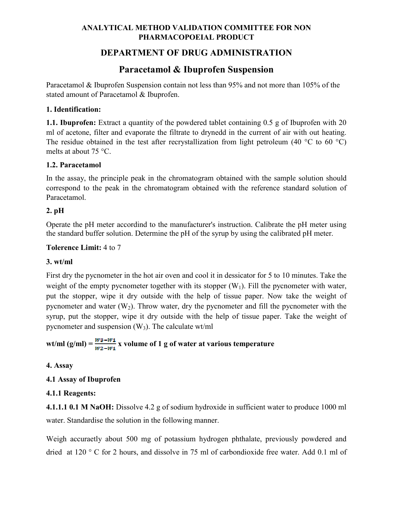## **ANALYTICAL METHOD VALIDATION COMMITTEE FOR NON PHARMACOPOEIAL PRODUCT**

## **DEPARTMENT OF DRUG ADMINISTRATION**

# **Paracetamol & Ibuprofen Suspension**

Paracetamol & Ibuprofen Suspension contain not less than 95% and not more than 105% of the stated amount of Paracetamol & Ibuprofen.

#### **1. Identification:**

**1.1. Ibuprofen:** Extract a quantity of the powdered tablet containing 0.5 g of Ibuprofen with 20 ml of acetone, filter and evaporate the filtrate to drynedd in the current of air with out heating. The residue obtained in the test after recrystallization from light petroleum (40  $^{\circ}$ C to 60  $^{\circ}$ C) melts at about 75 °C.

#### **1.2. Paracetamol**

In the assay, the principle peak in the chromatogram obtained with the sample solution should correspond to the peak in the chromatogram obtained with the reference standard solution of Paracetamol.

### **2. pH**

Operate the pH meter accordind to the manufacturer's instruction. Calibrate the pH meter using the standard buffer solution. Determine the pH of the syrup by using the calibrated pH meter.

#### **Tolerence Limit:** 4 to 7

#### **3. wt/ml**

First dry the pycnometer in the hot air oven and cool it in dessicator for 5 to 10 minutes. Take the weight of the empty pycnometer together with its stopper  $(W_1)$ . Fill the pycnometer with water, put the stopper, wipe it dry outside with the help of tissue paper. Now take the weight of pycnometer and water  $(W_2)$ . Throw water, dry the pycnometer and fill the pycnometer with the syrup, put the stopper, wipe it dry outside with the help of tissue paper. Take the weight of pycnometer and suspension  $(W_3)$ . The calculate wt/ml

# wt/ml (g/ml) =  $\frac{W^3-W^4}{W^2-W^4}$  x volume of 1 g of water at various temperature

### **4. Assay**

### **4.1 Assay of Ibuprofen**

### **4.1.1 Reagents:**

**4.1.1.1 0.1 M NaOH:** Dissolve 4.2 g of sodium hydroxide in sufficient water to produce 1000 ml water. Standardise the solution in the following manner.

Weigh accuraetly about 500 mg of potassium hydrogen phthalate, previously powdered and dried at 120 ° C for 2 hours, and dissolve in 75 ml of carbondioxide free water. Add 0.1 ml of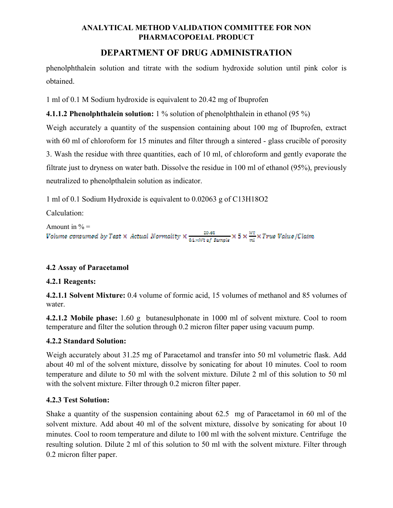### **ANALYTICAL METHOD VALIDATION COMMITTEE FOR NON PHARMACOPOEIAL PRODUCT**

## **DEPARTMENT OF DRUG ADMINISTRATION**

phenolphthalein solution and titrate with the sodium hydroxide solution until pink color is obtained.

1 ml of 0.1 M Sodium hydroxide is equivalent to 20.42 mg of Ibuprofen

**4.1.1.2 Phenolphthalein solution:** 1 % solution of phenolphthalein in ethanol (95 %)

Weigh accurately a quantity of the suspension containing about 100 mg of Ibuprofen, extract with 60 ml of chloroform for 15 minutes and filter through a sintered - glass crucible of porosity 3. Wash the residue with three quantities, each of 10 ml, of chloroform and gently evaporate the filtrate just to dryness on water bath. Dissolve the residue in 100 ml of ethanol (95%), previously neutralized to phenolpthalein solution as indicator.

1 ml of 0.1 Sodium Hydroxide is equivalent to 0.02063 g of C13H18O2

Calculation:

```
Amount in % =<br>Volume consumed by Test \times Actual Normality \times \frac{20.63}{0.1 \times Wt} \times 5 \times \frac{Wt}{m} \times True Value/Claim
```
### **4.2 Assay of Paracetamol**

### **4.2.1 Reagents:**

**4.2.1.1 Solvent Mixture:** 0.4 volume of formic acid, 15 volumes of methanol and 85 volumes of water.

**4.2.1.2 Mobile phase:** 1.60 g butanesulphonate in 1000 ml of solvent mixture. Cool to room temperature and filter the solution through 0.2 micron filter paper using vacuum pump.

### **4.2.2 Standard Solution:**

Weigh accurately about 31.25 mg of Paracetamol and transfer into 50 ml volumetric flask. Add about 40 ml of the solvent mixture, dissolve by sonicating for about 10 minutes. Cool to room temperature and dilute to 50 ml with the solvent mixture. Dilute 2 ml of this solution to 50 ml with the solvent mixture. Filter through 0.2 micron filter paper.

### **4.2.3 Test Solution:**

Shake a quantity of the suspension containing about 62.5 mg of Paracetamol in 60 ml of the solvent mixture. Add about 40 ml of the solvent mixture, dissolve by sonicating for about 10 minutes. Cool to room temperature and dilute to 100 ml with the solvent mixture. Centrifuge the resulting solution. Dilute 2 ml of this solution to 50 ml with the solvent mixture. Filter through 0.2 micron filter paper.